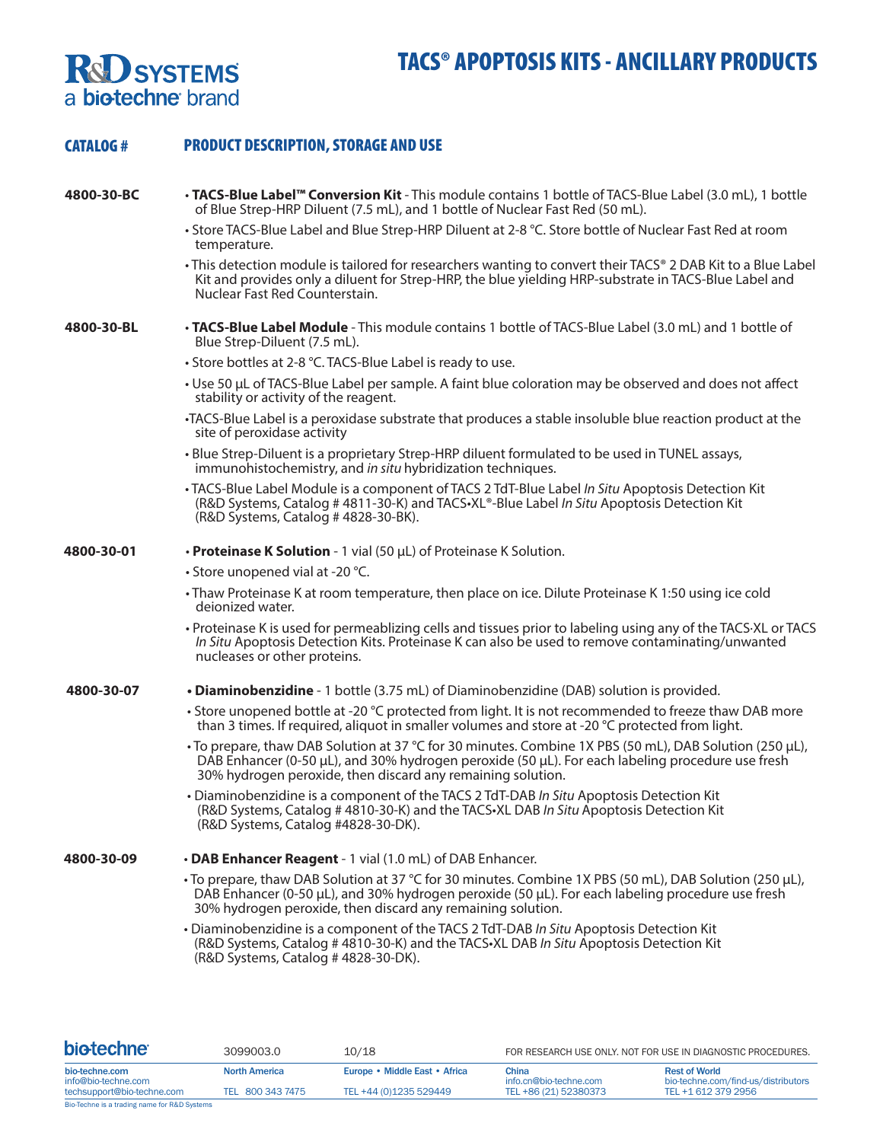## **R&D** SYSTEMS<br>a biotechne brand

| <b>CATALOG#</b> | <b>PRODUCT DESCRIPTION, STORAGE AND USE</b>                                                                                                                                                                                                                                          |
|-----------------|--------------------------------------------------------------------------------------------------------------------------------------------------------------------------------------------------------------------------------------------------------------------------------------|
| 4800-30-BC      | . TACS-Blue Label <sup>™</sup> Conversion Kit - This module contains 1 bottle of TACS-Blue Label (3.0 mL), 1 bottle<br>of Blue Strep-HRP Diluent (7.5 mL), and 1 bottle of Nuclear Fast Red (50 mL).                                                                                 |
|                 | • Store TACS-Blue Label and Blue Strep-HRP Diluent at 2-8 °C. Store bottle of Nuclear Fast Red at room<br>temperature.                                                                                                                                                               |
|                 | • This detection module is tailored for researchers wanting to convert their TACS® 2 DAB Kit to a Blue Label<br>Kit and provides only a diluent for Strep-HRP, the blue yielding HRP-substrate in TACS-Blue Label and<br>Nuclear Fast Red Counterstain.                              |
| 4800-30-BL      | • TACS-Blue Label Module - This module contains 1 bottle of TACS-Blue Label (3.0 mL) and 1 bottle of<br>Blue Strep-Diluent (7.5 mL).                                                                                                                                                 |
|                 | • Store bottles at 2-8 °C. TACS-Blue Label is ready to use.                                                                                                                                                                                                                          |
|                 | • Use 50 µL of TACS-Blue Label per sample. A faint blue coloration may be observed and does not affect<br>stability or activity of the reagent.                                                                                                                                      |
|                 | •TACS-Blue Label is a peroxidase substrate that produces a stable insoluble blue reaction product at the<br>site of peroxidase activity                                                                                                                                              |
|                 | • Blue Strep-Diluent is a proprietary Strep-HRP diluent formulated to be used in TUNEL assays,<br>immunohistochemistry, and in situ hybridization techniques.                                                                                                                        |
|                 | • TACS-Blue Label Module is a component of TACS 2 TdT-Blue Label In Situ Apoptosis Detection Kit<br>(R&D Systems, Catalog #4811-30-K) and TACS-XL®-Blue Label In Situ Apoptosis Detection Kit<br>(R&D Systems, Catalog #4828-30-BK).                                                 |
| 4800-30-01      | • Proteinase K Solution - 1 vial (50 µL) of Proteinase K Solution.                                                                                                                                                                                                                   |
|                 | • Store unopened vial at -20 °C.                                                                                                                                                                                                                                                     |
|                 | • Thaw Proteinase K at room temperature, then place on ice. Dilute Proteinase K 1:50 using ice cold<br>deionized water.                                                                                                                                                              |
|                 | · Proteinase K is used for permeablizing cells and tissues prior to labeling using any of the TACS·XL or TACS<br>In Situ Apoptosis Detection Kits. Proteinase K can also be used to remove contaminating/unwanted<br>nucleases or other proteins.                                    |
| 4800-30-07      | . Diaminobenzidine - 1 bottle (3.75 mL) of Diaminobenzidine (DAB) solution is provided.                                                                                                                                                                                              |
|                 | • Store unopened bottle at -20 °C protected from light. It is not recommended to freeze thaw DAB more<br>than 3 times. If required, aliquot in smaller volumes and store at -20 °C protected from light.                                                                             |
|                 | •To prepare, thaw DAB Solution at 37 °C for 30 minutes. Combine 1X PBS (50 mL), DAB Solution (250 µL),<br>DAB Enhancer (0-50 $\mu$ L), and 30% hydrogen peroxide (50 $\mu$ L). For each labeling procedure use fresh<br>30% hydrogen peroxide, then discard any remaining solution.  |
|                 | • Diaminobenzidine is a component of the TACS 2 TdT-DAB In Situ Apoptosis Detection Kit<br>(R&D Systems, Catalog #4810-30-K) and the TACS-XL DAB In Situ Apoptosis Detection Kit<br>(R&D Systems, Catalog #4828-30-DK).                                                              |
| 4800-30-09      | • DAB Enhancer Reagent - 1 vial (1.0 mL) of DAB Enhancer.                                                                                                                                                                                                                            |
|                 | • To prepare, thaw DAB Solution at 37 °C for 30 minutes. Combine 1X PBS (50 mL), DAB Solution (250 µL),<br>DAB Enhancer (0-50 $\mu$ L), and 30% hydrogen peroxide (50 $\mu$ L). For each labeling procedure use fresh<br>30% hydrogen peroxide, then discard any remaining solution. |
|                 | . Diaminobenzidine is a component of the TACS 2 TdT-DAB In Situ Apoptosis Detection Kit<br>(R&D Systems, Catalog #4810-30-K) and the TACS -XL DAB In Situ Apoptosis Detection Kit<br>(R&D Systems, Catalog #4828-30-DK).                                                             |

| <b>biotechne</b>                      | 3099003.0            | 10/18                         | FOR RESEARCH USE ONLY, NOT FOR USE IN DIAGNOSTIC PROCEDURES. |                                                             |
|---------------------------------------|----------------------|-------------------------------|--------------------------------------------------------------|-------------------------------------------------------------|
| bio-techne.com<br>info@bio-techne.com | <b>North America</b> | Europe • Middle East • Africa | China<br>info.cn@bio-techne.com                              | <b>Rest of World</b><br>bio-techne.com/find-us/distributors |
| techsupport@bio-techne.com            | TEL 800 343 7475     | TEL +44 (0)1235 529449        | TEL +86 (21) 52380373                                        | TEL +1 612 379 2956                                         |

Bio-Techne is a trading name for R&D Systems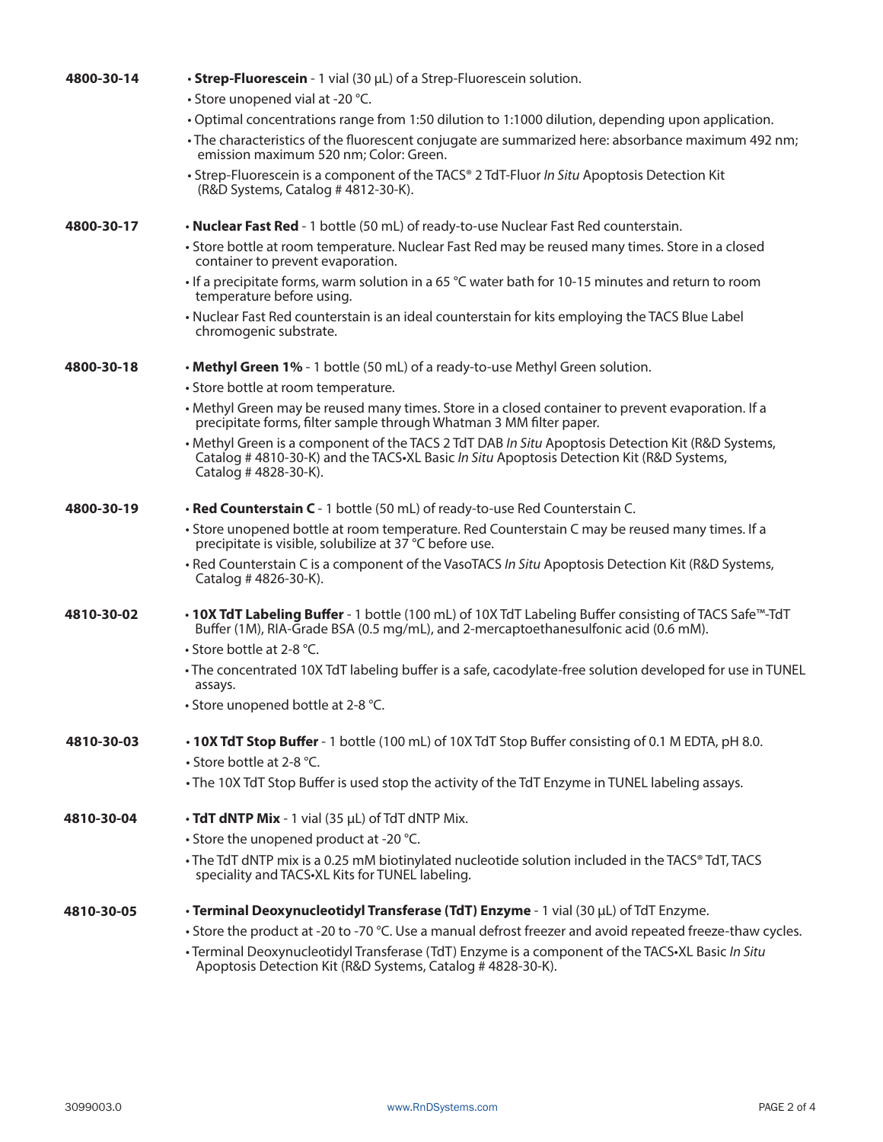| 4800-30-14 | • Strep-Fluorescein - 1 vial (30 µL) of a Strep-Fluorescein solution.                                                                                                                                                 |  |  |  |
|------------|-----------------------------------------------------------------------------------------------------------------------------------------------------------------------------------------------------------------------|--|--|--|
|            | • Store unopened vial at -20 °C.                                                                                                                                                                                      |  |  |  |
|            | . Optimal concentrations range from 1:50 dilution to 1:1000 dilution, depending upon application.                                                                                                                     |  |  |  |
|            | . The characteristics of the fluorescent conjugate are summarized here: absorbance maximum 492 nm;<br>emission maximum 520 nm; Color: Green.                                                                          |  |  |  |
|            | • Strep-Fluorescein is a component of the TACS® 2 TdT-Fluor In Situ Apoptosis Detection Kit<br>(R&D Systems, Catalog #4812-30-K).                                                                                     |  |  |  |
| 4800-30-17 | . Nuclear Fast Red - 1 bottle (50 mL) of ready-to-use Nuclear Fast Red counterstain.                                                                                                                                  |  |  |  |
|            | • Store bottle at room temperature. Nuclear Fast Red may be reused many times. Store in a closed<br>container to prevent evaporation.                                                                                 |  |  |  |
|            | $\cdot$ If a precipitate forms, warm solution in a 65 °C water bath for 10-15 minutes and return to room<br>temperature before using.                                                                                 |  |  |  |
|            | . Nuclear Fast Red counterstain is an ideal counterstain for kits employing the TACS Blue Label<br>chromogenic substrate.                                                                                             |  |  |  |
| 4800-30-18 | • Methyl Green 1% - 1 bottle (50 mL) of a ready-to-use Methyl Green solution.                                                                                                                                         |  |  |  |
|            | • Store bottle at room temperature.                                                                                                                                                                                   |  |  |  |
|            | • Methyl Green may be reused many times. Store in a closed container to prevent evaporation. If a<br>precipitate forms, filter sample through Whatman 3 MM filter paper.                                              |  |  |  |
|            | • Methyl Green is a component of the TACS 2 TdT DAB In Situ Apoptosis Detection Kit (R&D Systems,<br>Catalog # 4810-30-K) and the TACS-XL Basic In Situ Apoptosis Detection Kit (R&D Systems,<br>Catalog #4828-30-K). |  |  |  |
| 4800-30-19 | • Red Counterstain C - 1 bottle (50 mL) of ready-to-use Red Counterstain C.                                                                                                                                           |  |  |  |
|            | • Store unopened bottle at room temperature. Red Counterstain C may be reused many times. If a<br>precipitate is visible, solubilize at 37 °C before use.                                                             |  |  |  |
|            | . Red Counterstain C is a component of the VasoTACS In Situ Apoptosis Detection Kit (R&D Systems,<br>Catalog #4826-30-K).                                                                                             |  |  |  |
| 4810-30-02 | • 10X TdT Labeling Buffer - 1 bottle (100 mL) of 10X TdT Labeling Buffer consisting of TACS Safe™-TdT<br>Buffer (1M), RIA-Grade BSA (0.5 mg/mL), and 2-mercaptoethanesulfonic acid (0.6 mM).                          |  |  |  |
|            | • Store bottle at 2-8 °C.                                                                                                                                                                                             |  |  |  |
|            | · The concentrated 10X TdT labeling buffer is a safe, cacodylate-free solution developed for use in TUNEL<br>assays.                                                                                                  |  |  |  |
|            | • Store unopened bottle at 2-8 °C.                                                                                                                                                                                    |  |  |  |
| 4810-30-03 | • 10X TdT Stop Buffer - 1 bottle (100 mL) of 10X TdT Stop Buffer consisting of 0.1 M EDTA, pH 8.0.                                                                                                                    |  |  |  |
|            | • Store bottle at 2-8 °C.                                                                                                                                                                                             |  |  |  |
|            | • The 10X TdT Stop Buffer is used stop the activity of the TdT Enzyme in TUNEL labeling assays.                                                                                                                       |  |  |  |
| 4810-30-04 | $\cdot$ TdT dNTP Mix - 1 vial (35 $\mu$ L) of TdT dNTP Mix.                                                                                                                                                           |  |  |  |
|            | • Store the unopened product at -20 °C.                                                                                                                                                                               |  |  |  |
|            | • The TdT dNTP mix is a 0.25 mM biotinylated nucleotide solution included in the TACS® TdT, TACS<br>speciality and TACS. XL Kits for TUNEL labeling.                                                                  |  |  |  |
| 4810-30-05 | · Terminal Deoxynucleotidyl Transferase (TdT) Enzyme - 1 vial (30 µL) of TdT Enzyme.                                                                                                                                  |  |  |  |
|            | • Store the product at -20 to -70 °C. Use a manual defrost freezer and avoid repeated freeze-thaw cycles.                                                                                                             |  |  |  |
|            | • Terminal Deoxynucleotidyl Transferase (TdT) Enzyme is a component of the TACS•XL Basic In Situ<br>Apoptosis Detection Kit (R&D Systems, Catalog # 4828-30-K).                                                       |  |  |  |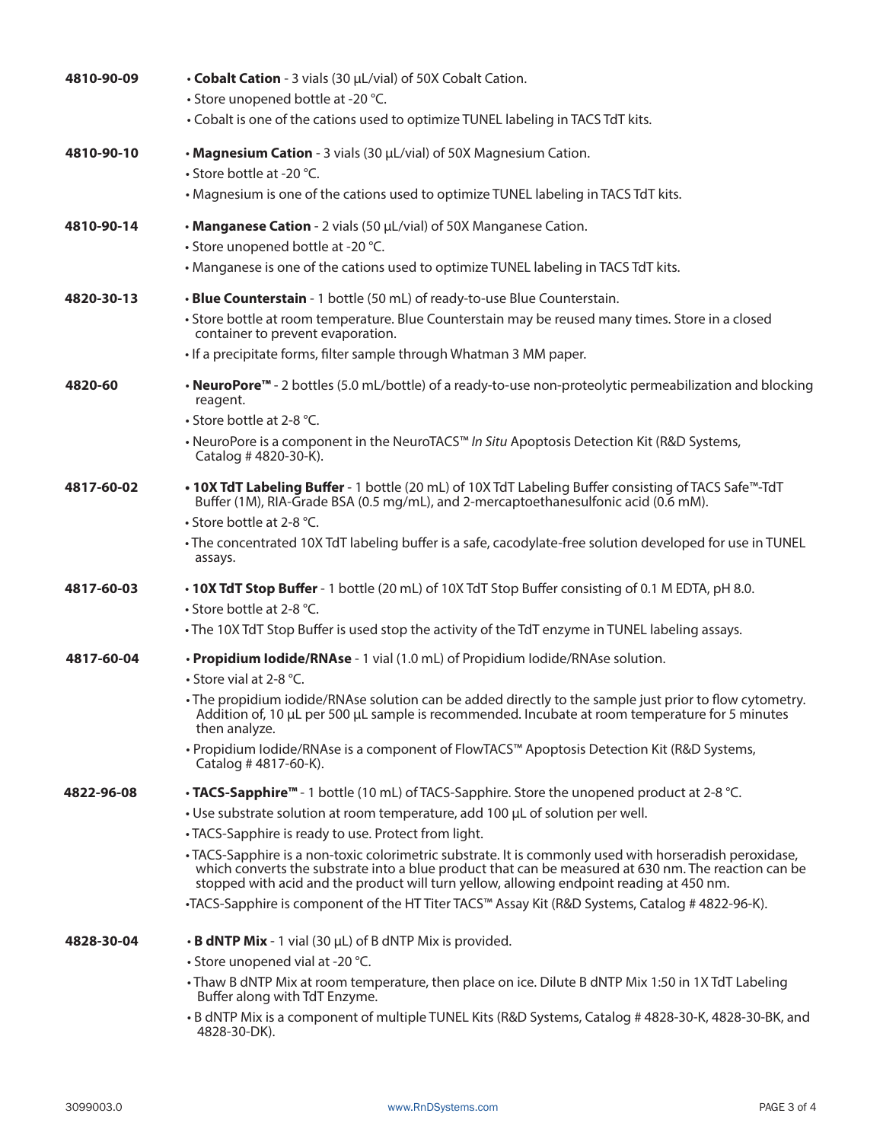| 4810-90-09 | • Cobalt Cation - 3 vials (30 µL/vial) of 50X Cobalt Cation.<br>• Store unopened bottle at -20 °C.<br>• Cobalt is one of the cations used to optimize TUNEL labeling in TACS TdT kits.                                                                                                                                                                                                                                                                                                                                                                                                                                                                              |
|------------|---------------------------------------------------------------------------------------------------------------------------------------------------------------------------------------------------------------------------------------------------------------------------------------------------------------------------------------------------------------------------------------------------------------------------------------------------------------------------------------------------------------------------------------------------------------------------------------------------------------------------------------------------------------------|
| 4810-90-10 | • Magnesium Cation - 3 vials (30 µL/vial) of 50X Magnesium Cation.<br>• Store bottle at -20 °C.<br>• Magnesium is one of the cations used to optimize TUNEL labeling in TACS TdT kits.                                                                                                                                                                                                                                                                                                                                                                                                                                                                              |
| 4810-90-14 | • Manganese Cation - 2 vials (50 µL/vial) of 50X Manganese Cation.<br>• Store unopened bottle at -20 °C.<br>• Manganese is one of the cations used to optimize TUNEL labeling in TACS TdT kits.                                                                                                                                                                                                                                                                                                                                                                                                                                                                     |
| 4820-30-13 | • Blue Counterstain - 1 bottle (50 mL) of ready-to-use Blue Counterstain.<br>• Store bottle at room temperature. Blue Counterstain may be reused many times. Store in a closed<br>container to prevent evaporation.<br>• If a precipitate forms, filter sample through Whatman 3 MM paper.                                                                                                                                                                                                                                                                                                                                                                          |
| 4820-60    | • NeuroPore <sup>™</sup> - 2 bottles (5.0 mL/bottle) of a ready-to-use non-proteolytic permeabilization and blocking<br>reagent.<br>• Store bottle at 2-8 °C.<br>• NeuroPore is a component in the NeuroTACS™ In Situ Apoptosis Detection Kit (R&D Systems,<br>Catalog #4820-30-K).                                                                                                                                                                                                                                                                                                                                                                                 |
| 4817-60-02 | • 10X TdT Labeling Buffer - 1 bottle (20 mL) of 10X TdT Labeling Buffer consisting of TACS Safe <sup>m-</sup> TdT<br>Buffer (1M), RIA-Grade BSA (0.5 mg/mL), and 2-mercaptoethanesulfonic acid (0.6 mM).<br>• Store bottle at 2-8 °C.<br>• The concentrated 10X TdT labeling buffer is a safe, cacodylate-free solution developed for use in TUNEL<br>assays.                                                                                                                                                                                                                                                                                                       |
| 4817-60-03 | • 10X TdT Stop Buffer - 1 bottle (20 mL) of 10X TdT Stop Buffer consisting of 0.1 M EDTA, pH 8.0.<br>• Store bottle at 2-8 °C.<br>• The 10X TdT Stop Buffer is used stop the activity of the TdT enzyme in TUNEL labeling assays.                                                                                                                                                                                                                                                                                                                                                                                                                                   |
| 4817-60-04 | • Propidium Iodide/RNAse - 1 vial (1.0 mL) of Propidium Iodide/RNAse solution.<br>• Store vial at 2-8 °C.<br>• The propidium iodide/RNAse solution can be added directly to the sample just prior to flow cytometry.<br>Addition of, 10 µL per 500 µL sample is recommended. Incubate at room temperature for 5 minutes<br>then analyze.<br>. Propidium lodide/RNAse is a component of FlowTACS™ Apoptosis Detection Kit (R&D Systems,<br>Catalog #4817-60-K).                                                                                                                                                                                                      |
| 4822-96-08 | • TACS-Sapphire <sup>™</sup> - 1 bottle (10 mL) of TACS-Sapphire. Store the unopened product at 2-8 °C.<br>• Use substrate solution at room temperature, add 100 µL of solution per well.<br>• TACS-Sapphire is ready to use. Protect from light.<br>• TACS-Sapphire is a non-toxic colorimetric substrate. It is commonly used with horseradish peroxidase,<br>which converts the substrate into a blue product that can be measured at 630 nm. The reaction can be<br>stopped with acid and the product will turn yellow, allowing endpoint reading at 450 nm.<br>•TACS-Sapphire is component of the HT Titer TACS™ Assay Kit (R&D Systems, Catalog # 4822-96-K). |
| 4828-30-04 | $\cdot$ B dNTP Mix - 1 vial (30 $\mu$ L) of B dNTP Mix is provided.<br>• Store unopened vial at -20 °C.<br>• Thaw B dNTP Mix at room temperature, then place on ice. Dilute B dNTP Mix 1:50 in 1X TdT Labeling<br>Buffer along with TdT Enzyme.<br>• B dNTP Mix is a component of multiple TUNEL Kits (R&D Systems, Catalog # 4828-30-K, 4828-30-BK, and<br>4828-30-DK).                                                                                                                                                                                                                                                                                            |